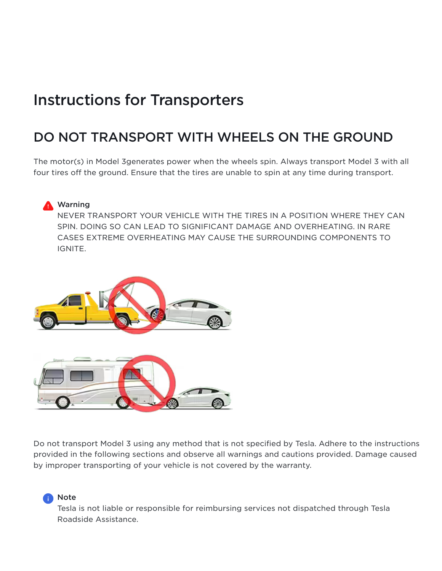# Instructions for Transporters

# DO NOT TRANSPORT WITH WHEELS ON THE GROUND

The motor(s) in Model 3generates power when the wheels spin. Always transport Model 3 with all four tires off the ground. Ensure that the tires are unable to spin at any time during transport.



NEVER TRANSPORT YOUR VEHICLE WITH THE TIRES IN A POSITION WHERE THEY CAN SPIN. DOING SO CAN LEAD TO SIGNIFICANT DAMAGE AND OVERHEATING. IN RARE CASES EXTREME OVERHEATING MAY CAUSE THE SURROUNDING COMPONENTS TO IGNITE.



Do not transport Model 3 using any method that is not specified by Tesla. Adhere to the instructions provided in the following sections and observe all warnings and cautions provided. Damage caused by improper transporting of your vehicle is not covered by the warranty.

#### **R** Note

Tesla is not liable or responsible for reimbursing services not dispatched through Tesla Roadside Assistance.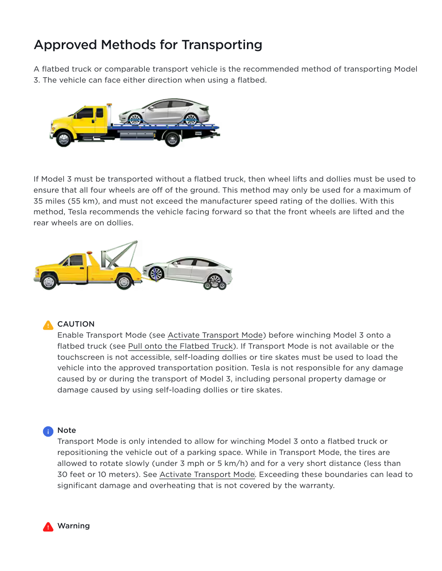# Approved Methods for Transporting

A flatbed truck or comparable transport vehicle is the recommended method of transporting Model 3. The vehicle can face either direction when using a flatbed.



If Model 3 must be transported without a flatbed truck, then wheel lifts and dollies must be used to ensure that all four wheels are off of the ground. This method may only be used for a maximum of 35 miles (55 km), and must not exceed the manufacturer speed rating of the dollies. With this method, Tesla recommends the vehicle facing forward so that the front wheels are lifted and the rear wheels are on dollies.



#### **A** CAUTION

EnableTransport Mode (see Activate Transport Mode) before winching Model 3 onto a flatbedtruck (see Pull onto the Flatbed Truck). If Transport Mode is not available or the touchscreen is not accessible, self-loading dollies or tire skates must be used to load the vehicle into the approved transportation position. Tesla is not responsible for any damage caused by or during the transport of Model 3, including personal property damage or damage caused by using self-loading dollies or tire skates.

#### Note

Transport Mode is only intended to allow for winching Model 3 onto a flatbed truck or repositioning the vehicle out of a parking space. While in Transport Mode, the tires are allowed to rotate slowly (under 3 mph or 5 km/h) and for a very short distance (less than 30 feet or 10 meters). See Activate Transport Mode. Exceeding these boundaries can lead to significant damage and overheating that is not covered by the warranty.

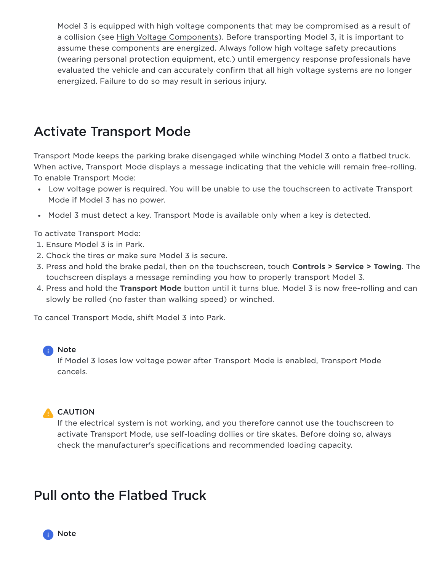Model 3 is equipped with high voltage components that may be compromised as a result of a collision (see High Voltage Components). Before transporting Model 3, it is important to assume these components are energized. Always follow high voltage safety precautions (wearing personal protection equipment, etc.) until emergency response professionals have evaluated the vehicle and can accurately confirm that all high voltage systems are no longer energized. Failure to do so may result in serious injury.

# <span id="page-2-0"></span>Activate Transport Mode

Transport Mode keeps the parking brake disengaged while winching Model 3 onto a flatbed truck. When active, Transport Mode displays a message indicating that the vehicle will remain free-rolling. To enable Transport Mode:

- Low voltage power is required. You will be unable to use the touchscreen to activate Transport Mode if Model 3 has no power.
- Model 3 must detect a key. Transport Mode is available only when a key is detected.

To activate Transport Mode:

- 1. Ensure Model 3 is in Park.
- 2. Chock the tires or make sure Model 3 is secure.
- 3. Press and hold the brake pedal, then on the touchscreen, touch **Controls > Service > Towing**. The touchscreen displays a message reminding you how to properly transport Model 3.
- 4. Press and hold the Transport Mode button until it turns blue. Model 3 is now free-rolling and can slowly be rolled (no faster than walking speed) or winched.

To cancel Transport Mode, shift Model 3 into Park.

#### Note

If Model 3 loses low voltage power after Transport Mode is enabled, Transport Mode cancels.

#### **A** CAUTION

If the electrical system is not working, and you therefore cannot use the touchscreen to activate Transport Mode, use self-loading dollies or tire skates. Before doing so, always check the manufacturer's specifications and recommended loading capacity.

# <span id="page-2-1"></span>Pull onto the Flatbed Truck

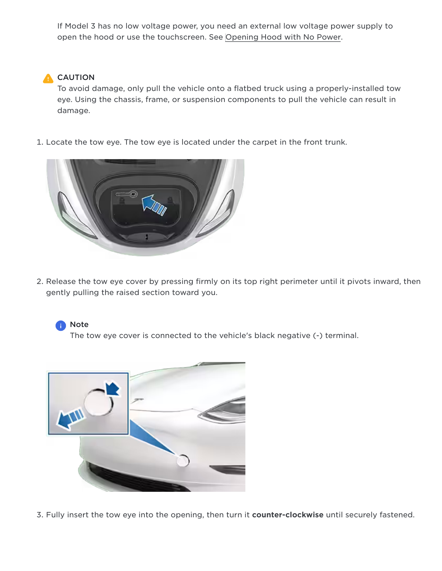If Model 3 has no low voltage power, you need an external low voltage power supply to open the hood or use the touchscreen. See [Opening](https://www.tesla.com/ownersmanual/model3/en_us/GUID-4907927D-1F9C-43C0-B58C-A3CACDD2D9C6.html) Hood with No Power.

#### **A** CAUTION

To avoid damage, only pull the vehicle onto a flatbed truck using a properly-installed tow eye. Using the chassis, frame, or suspension components to pull the vehicle can result in damage.

1. Locate the tow eye. The tow eye is located under the carpet in the front trunk.



2. Release the tow eye cover by pressing firmly on its top right perimeter until it pivots inward, then gently pulling the raised section toward you.



The tow eye cover is connected to the vehicle's black negative (-) terminal.



3. Fully insert the tow eye into the opening, then turn it counter-clockwise until securely fastened.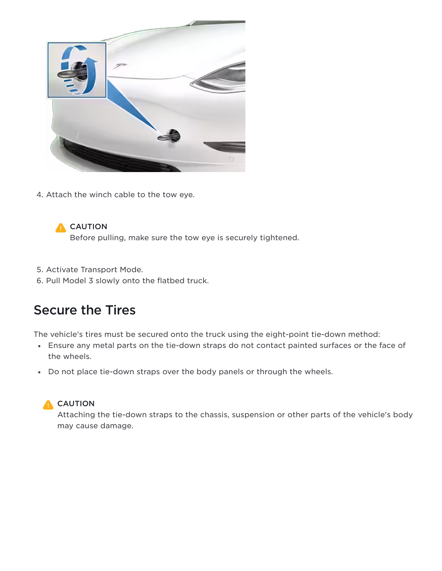

4. Attach the winch cable to the tow eye.

### **A** CAUTION

Before pulling, make sure the tow eye is securely tightened.

- 5. Activate Transport Mode.
- 6. Pull Model 3 slowly onto the flatbed truck.

# Secure the Tires

The vehicle's tires must be secured onto the truck using the eight-point tie-down method:

- Ensure any metal parts on the tie-down straps do not contact painted surfaces or the face of the wheels.
- Do not place tie-down straps over the body panels or through the wheels.

## **A** CAUTION

Attaching the tie-down straps to the chassis, suspension or other parts of the vehicle's body may cause damage.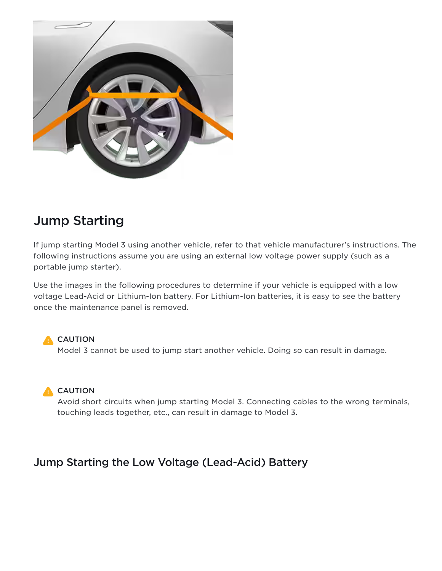

# Jump Starting

If jump starting Model 3 using another vehicle, refer to that vehicle manufacturer's instructions. The following instructions assume you are using an external low voltage power supply (such as a portable jump starter).

Use the images in the following procedures to determine if your vehicle is equipped with a low voltage Lead-Acid or Lithium-Ion battery. For Lithium-Ion batteries, it is easy to see the battery once the maintenance panel is removed.

**A** CAUTION Model 3 cannot be used to jump start another vehicle. Doing so can result in damage.

**A** CAUTION

Avoid short circuits when jump starting Model 3. Connecting cables to the wrong terminals, touching leads together, etc., can result in damage to Model 3.

## Jump Starting the Low Voltage (Lead-Acid) Battery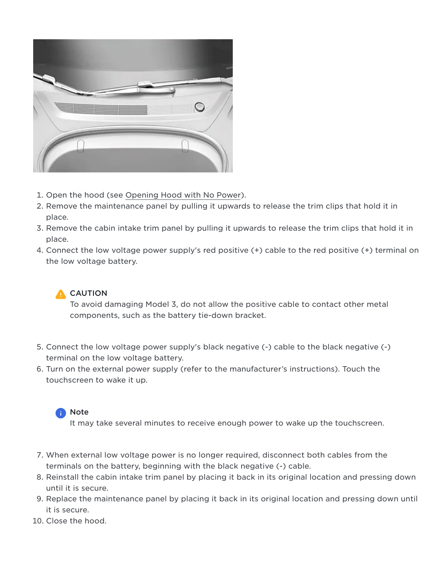

- 1. Open the hood (see Opening Hood with No Power).
- 2. Remove the maintenance panel by pulling it upwards to release the trim clips that hold it in place.
- 3. Remove the cabin intake trim panel by pulling it upwards to release the trim clips that hold it in place.
- 4. Connect the low voltage power supply's red positive (+) cable to the red positive (+) terminal on the low voltage battery.



To avoid damaging Model 3, do not allow the positive cable to contact other metal components, such as the battery tie-down bracket.

- 5. Connect the low voltage power supply's black negative (-) cable to the black negative (-) terminal on the low voltage battery.
- 6. Turn on the external power supply (refer to the manufacturer's instructions). Touch the touchscreen to wake it up.



It may take several minutes to receive enough power to wake up the touchscreen.

- 7. When external low voltage power is no longer required, disconnect both cables from the terminals on the battery, beginning with the black negative (-) cable.
- 8. Reinstall the cabin intake trim panel by placing it back in its original location and pressing down until it is secure.
- 9. Replace the maintenance panel by placing it back in its original location and pressing down until it is secure.
- 10. Close the hood.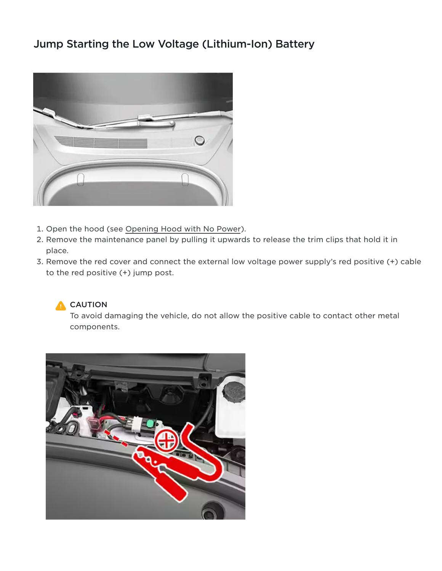## Jump Starting the Low Voltage (Lithium-Ion) Battery



- 1. Open the hood (see Opening Hood with No Power).
- 2. Remove the maintenance panel by pulling it upwards to release the trim clips that hold it in place.
- 3. Remove the red cover and connect the external low voltage power supply's red positive (+) cable to the red positive (+) jump post.



To avoid damaging the vehicle, do not allow the positive cable to contact other metal components.